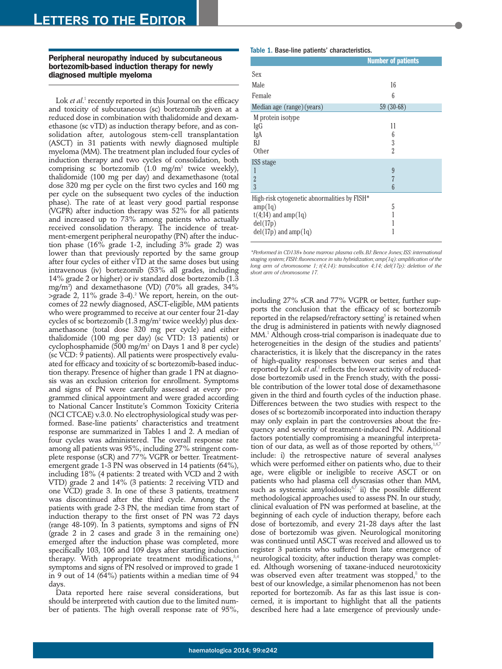## **Peripheral neuropathy induced by subcutaneous bortezomib-based induction therapy for newly diagnosed multiple myeloma**

Lok *et al*. <sup>1</sup> recently reported in this Journal on the efficacy and toxicity of subcutaneous (sc) bortezomib given at a reduced dose in combination with thalidomide and dexamethasone (sc vTD) as induction therapy before, and as consolidation after, autologous stem-cell transplantation (ASCT) in 31 patients with newly diagnosed multiple myeloma (MM). The treatment plan included four cycles of induction therapy and two cycles of consolidation, both comprising sc bortezomib  $(1.0 \text{ mg/m}^2)$  twice weekly), thalidomide (100 mg per day) and dexamethasone (total dose 320 mg per cycle on the first two cycles and 160 mg per cycle on the subsequent two cycles of the induction phase). The rate of at least very good partial response (VGPR) after induction therapy was 52% for all patients and increased up to 73% among patients who actually received consolidation therapy. The incidence of treatment-emergent peripheral neuropathy (PN) after the induction phase (16% grade 1-2, including 3% grade 2) was lower than that previously reported by the same group after four cycles of either vTD at the same doses but using intravenous (iv) bortezomib (53% all grades, including 14% grade 2 or higher) or iv standard dose bortezomib (1.3 mg/m2 ) and dexamethasone (VD) (70% all grades, 34% >grade 2, 11% grade 3-4). <sup>2</sup> We report, herein, on the outcomes of 22 newly diagnosed, ASCT-eligible, MM patients who were programmed to receive at our center four 21-day cycles of sc bortezomib (1.3 mg/m2 twice weekly) plus dexamethasone (total dose 320 mg per cycle) and either thalidomide (100 mg per day) (sc VTD: 13 patients) or cyclophosphamide (500 mg/m2 on Days 1 and 8 per cycle) (sc VCD: 9 patients). All patients were prospectively evaluated for efficacy and toxicity of sc bortezomib-based induction therapy. Presence of higher than grade 1 PN at diagnosis was an exclusion criterion for enrollment. Symptoms and signs of PN were carefully assessed at every programmed clinical appointment and were graded according to National Cancer Institute's Common Toxicity Criteria (NCI CTCAE) v.3.0. No electrophysiological study was performed. Base-line patients' characteristics and treatment response are summarized in Tables 1 and 2. A median of four cycles was administered. The overall response rate among all patients was 95%, including 27% stringent complete response (sCR) and 77% VGPR or better. Treatmentemergent grade 1-3 PN was observed in 14 patients (64%), including 18% (4 patients: 2 treated with VCD and 2 with VTD) grade 2 and 14% (3 patients: 2 receiving VTD and one VCD) grade 3. In one of these 3 patients, treatment was discontinued after the third cycle. Among the 7 patients with grade 2-3 PN, the median time from start of induction therapy to the first onset of PN was 72 days (range 48-109). In 3 patients, symptoms and signs of PN (grade 2 in 2 cases and grade 3 in the remaining one) emerged after the induction phase was completed, more specifically 103, 106 and 109 days after starting induction therapy. With appropriate treatment modifications,<sup>3,4</sup> symptoms and signs of PN resolved or improved to grade 1 in 9 out of 14 (64%) patients within a median time of 94 days.

Data reported here raise several considerations, but should be interpreted with caution due to the limited number of patients. The high overall response rate of 95%,

## Table 1. Base-line patients' characteristics.

|                                                          | <b>Number of patients</b> |  |
|----------------------------------------------------------|---------------------------|--|
| Sex                                                      |                           |  |
| Male                                                     | 16                        |  |
| Female                                                   | 6                         |  |
| Median age (range) (years)                               | $59(30-68)$               |  |
| M protein isotype                                        |                           |  |
| IgG                                                      | 11                        |  |
| IgA                                                      | 6                         |  |
| BJ.                                                      | 3                         |  |
| Other                                                    | $\overline{2}$            |  |
| ISS stage                                                |                           |  |
| 1                                                        | 9                         |  |
| $\overline{2}$                                           | 7                         |  |
| $\overline{3}$                                           | 6                         |  |
| High-risk cytogenetic abnormalities by FISH <sup>*</sup> |                           |  |
| amp(1q)                                                  | 5                         |  |
| $t(4;14)$ and amp $(1q)$                                 |                           |  |
| del(17p)                                                 |                           |  |
| $del(17p)$ and amp $(1q)$                                |                           |  |
|                                                          |                           |  |

*\*Performed in CD138+ bone marrow plasma cells.BJ:Bence Jones; ISS: international staging system; FISH: fluorescence in situ hybridization; amp(1q): amplification of the long arm of chromosome 1; t(4;14): translocation 4;14; del(17p): deletion of the short arm of chromosome 17.*

including 27% sCR and 77% VGPR or better, further supports the conclusion that the efficacy of sc bortezomib reported in the relapsed/refractory setting<sup>5</sup> is retained when the drug is administered in patients with newly diagnosed MM. <sup>1</sup> Although cross-trial comparison is inadequate due to heterogeneities in the design of the studies and patients' characteristics, it is likely that the discrepancy in the rates of high-quality responses between our series and that reported by Lok *et al*. <sup>1</sup> reflects the lower activity of reduceddose bortezomib used in the French study, with the possible contribution of the lower total dose of dexamethasone given in the third and fourth cycles of the induction phase. Differences between the two studies with respect to the doses of sc bortezomib incorporated into induction therapy may only explain in part the controversies about the frequency and severity of treatment-induced PN. Additional factors potentially compromising a meaningful interpretation of our data, as well as of those reported by others,  $1,6,7$ include: i) the retrospective nature of several analyses which were performed either on patients who, due to their age, were eligible or ineligible to receive ASCT or on patients who had plasma cell dyscrasias other than MM, such as systemic amyloidosis;<sup>67</sup> ii) the possible different methodological approaches used to assess PN. In our study, clinical evaluation of PN was performed at baseline, at the beginning of each cycle of induction therapy, before each dose of bortezomib, and every 21-28 days after the last dose of bortezomib was given. Neurological monitoring was continued until ASCT was received and allowed us to register 3 patients who suffered from late emergence of neurological toxicity, after induction therapy was completed. Although worsening of taxane-induced neurotoxicity was observed even after treatment was stopped,<sup>8</sup> to the best of our knowledge, a similar phenomenon has not been reported for bortezomib. As far as this last issue is concerned, it is important to highlight that all the patients described here had a late emergence of previously unde